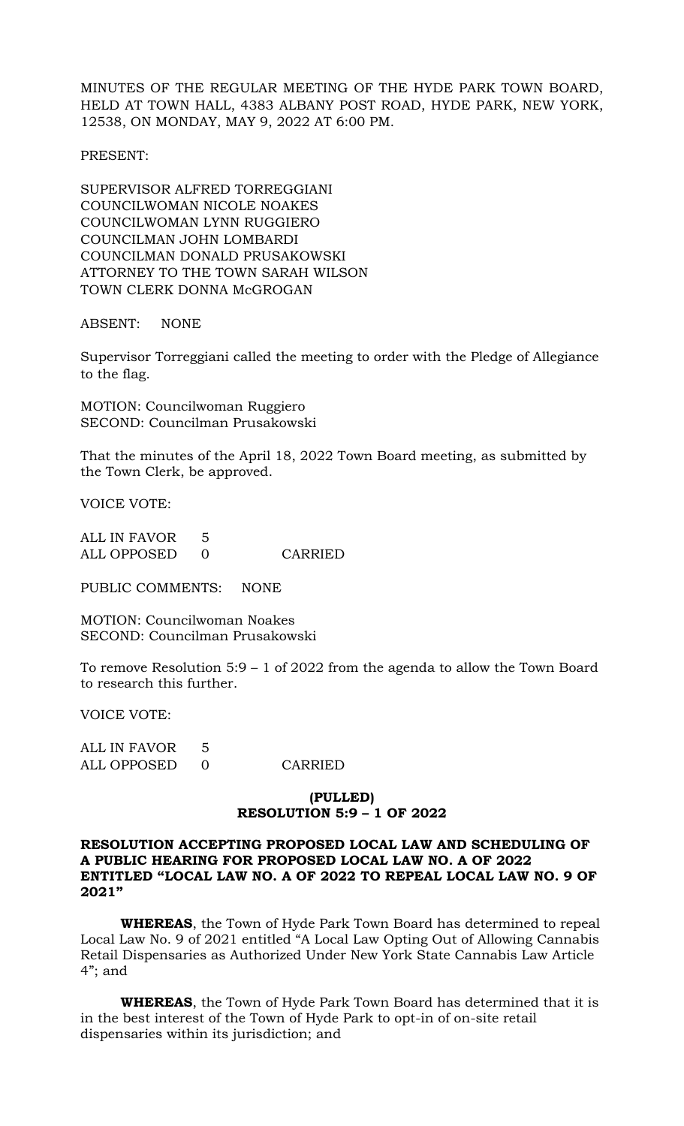MINUTES OF THE REGULAR MEETING OF THE HYDE PARK TOWN BOARD, HELD AT TOWN HALL, 4383 ALBANY POST ROAD, HYDE PARK, NEW YORK, 12538, ON MONDAY, MAY 9, 2022 AT 6:00 PM.

PRESENT:

SUPERVISOR ALFRED TORREGGIANI COUNCILWOMAN NICOLE NOAKES COUNCILWOMAN LYNN RUGGIERO COUNCILMAN JOHN LOMBARDI COUNCILMAN DONALD PRUSAKOWSKI ATTORNEY TO THE TOWN SARAH WILSON TOWN CLERK DONNA McGROGAN

ABSENT: NONE

Supervisor Torreggiani called the meeting to order with the Pledge of Allegiance to the flag.

MOTION: Councilwoman Ruggiero SECOND: Councilman Prusakowski

That the minutes of the April 18, 2022 Town Board meeting, as submitted by the Town Clerk, be approved.

VOICE VOTE:

ALL IN FAVOR 5 ALL OPPOSED 0 CARRIED

PUBLIC COMMENTS: NONE

MOTION: Councilwoman Noakes SECOND: Councilman Prusakowski

To remove Resolution 5:9 – 1 of 2022 from the agenda to allow the Town Board to research this further.

VOICE VOTE:

| ALL IN FAVOR |         |
|--------------|---------|
| ALL OPPOSED  | CARRIED |

# **(PULLED) RESOLUTION 5:9 – 1 OF 2022**

## **RESOLUTION ACCEPTING PROPOSED LOCAL LAW AND SCHEDULING OF A PUBLIC HEARING FOR PROPOSED LOCAL LAW NO. A OF 2022 ENTITLED "LOCAL LAW NO. A OF 2022 TO REPEAL LOCAL LAW NO. 9 OF 2021"**

**WHEREAS**, the Town of Hyde Park Town Board has determined to repeal Local Law No. 9 of 2021 entitled "A Local Law Opting Out of Allowing Cannabis Retail Dispensaries as Authorized Under New York State Cannabis Law Article 4"; and

**WHEREAS**, the Town of Hyde Park Town Board has determined that it is in the best interest of the Town of Hyde Park to opt-in of on-site retail dispensaries within its jurisdiction; and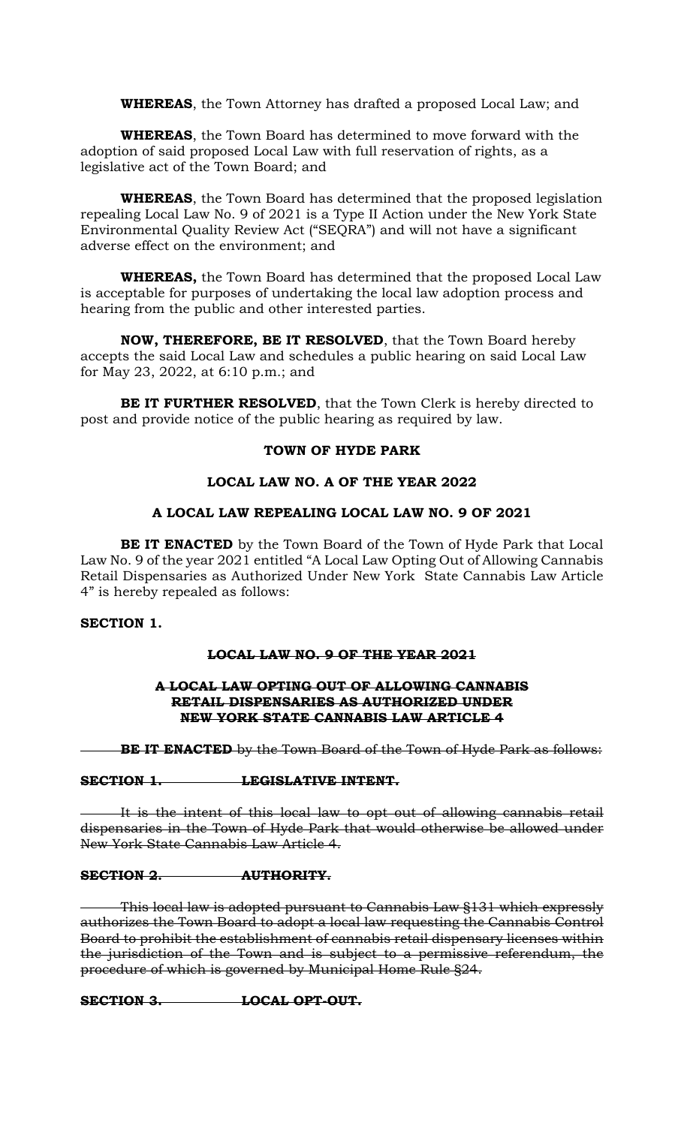**WHEREAS**, the Town Attorney has drafted a proposed Local Law; and

**WHEREAS**, the Town Board has determined to move forward with the adoption of said proposed Local Law with full reservation of rights, as a legislative act of the Town Board; and

**WHEREAS**, the Town Board has determined that the proposed legislation repealing Local Law No. 9 of 2021 is a Type II Action under the New York State Environmental Quality Review Act ("SEQRA") and will not have a significant adverse effect on the environment; and

**WHEREAS,** the Town Board has determined that the proposed Local Law is acceptable for purposes of undertaking the local law adoption process and hearing from the public and other interested parties.

**NOW, THEREFORE, BE IT RESOLVED**, that the Town Board hereby accepts the said Local Law and schedules a public hearing on said Local Law for May 23, 2022, at 6:10 p.m.; and

**BE IT FURTHER RESOLVED**, that the Town Clerk is hereby directed to post and provide notice of the public hearing as required by law.

## **TOWN OF HYDE PARK**

## **LOCAL LAW NO. A OF THE YEAR 2022**

## **A LOCAL LAW REPEALING LOCAL LAW NO. 9 OF 2021**

**BE IT ENACTED** by the Town Board of the Town of Hyde Park that Local Law No. 9 of the year 2021 entitled "A Local Law Opting Out of Allowing Cannabis Retail Dispensaries as Authorized Under New York State Cannabis Law Article 4" is hereby repealed as follows:

# **SECTION 1.**

## **LOCAL LAW NO. 9 OF THE YEAR 2021**

## **A LOCAL LAW OPTING OUT OF ALLOWING CANNABIS RETAIL DISPENSARIES AS AUTHORIZED UNDER NEW YORK STATE CANNABIS LAW ARTICLE 4**

**BE IT ENACTED** by the Town Board of the Town of Hyde Park as follows:

## **SECTION 1. LEGISLATIVE INTENT.**

It is the intent of this local law to opt out of allowing cannabis retail dispensaries in the Town of Hyde Park that would otherwise be allowed under New York State Cannabis Law Article 4.

## **SECTION 2. AUTHORITY.**

This local law is adopted pursuant to Cannabis Law §131 which expressly authorizes the Town Board to adopt a local law requesting the Cannabis Control Board to prohibit the establishment of cannabis retail dispensary licenses within the jurisdiction of the Town and is subject to a permissive referendum, the procedure of which is governed by Municipal Home Rule §24.

**SECTION 3. LOCAL OPT-OUT.**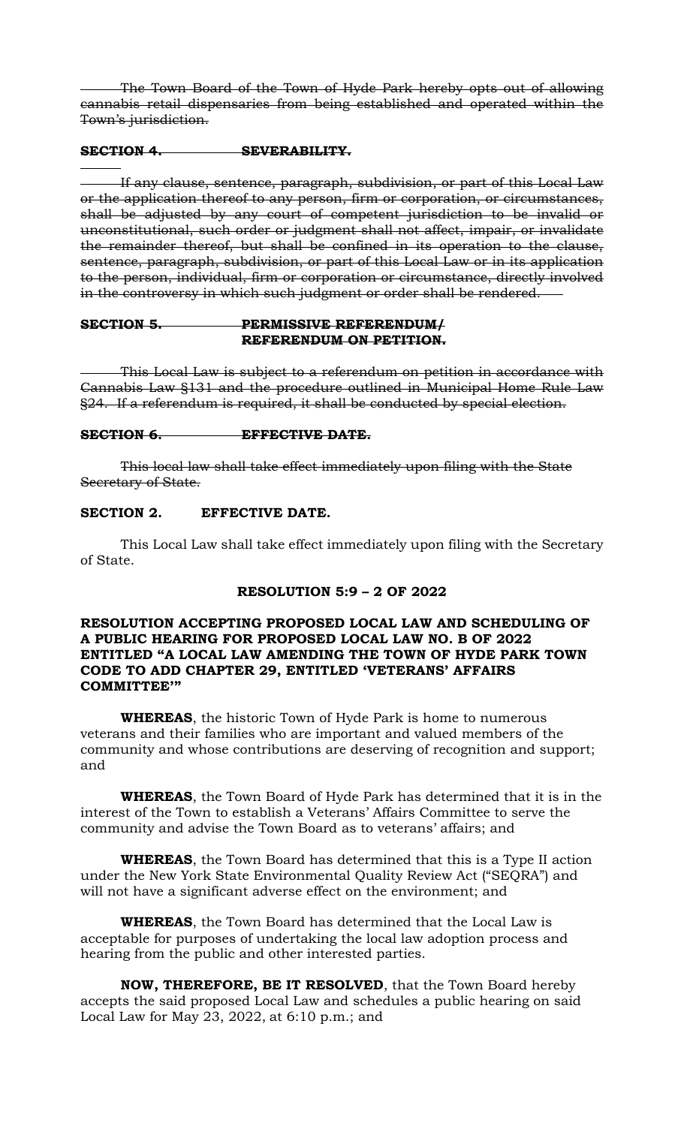The Town Board of the Town of Hyde Park hereby opts out of allowing cannabis retail dispensaries from being established and operated within the Town's jurisdiction.

#### **SECTION 4. SEVERABILITY.**

If any clause, sentence, paragraph, subdivision, or part of this Local Law or the application thereof to any person, firm or corporation, or circumstances, shall be adjusted by any court of competent jurisdiction to be invalid or unconstitutional, such order or judgment shall not affect, impair, or invalidate the remainder thereof, but shall be confined in its operation to the clause, sentence, paragraph, subdivision, or part of this Local Law or in its application to the person, individual, firm or corporation or circumstance, directly involved in the controversy in which such judgment or order shall be rendered.

## **SECTION 5. PERMISSIVE REFERENDUM/ REFERENDUM ON PETITION.**

This Local Law is subject to a referendum on petition in accordance with Cannabis Law §131 and the procedure outlined in Municipal Home Rule Law §24. If a referendum is required, it shall be conducted by special election.

#### **SECTION 6. EFFECTIVE DATE.**

This local law shall take effect immediately upon filing with the State Secretary of State.

### **SECTION 2. EFFECTIVE DATE.**

This Local Law shall take effect immediately upon filing with the Secretary of State.

# **RESOLUTION 5:9 – 2 OF 2022**

## **RESOLUTION ACCEPTING PROPOSED LOCAL LAW AND SCHEDULING OF A PUBLIC HEARING FOR PROPOSED LOCAL LAW NO. B OF 2022 ENTITLED "A LOCAL LAW AMENDING THE TOWN OF HYDE PARK TOWN CODE TO ADD CHAPTER 29, ENTITLED 'VETERANS' AFFAIRS COMMITTEE'"**

**WHEREAS**, the historic Town of Hyde Park is home to numerous veterans and their families who are important and valued members of the community and whose contributions are deserving of recognition and support; and

**WHEREAS**, the Town Board of Hyde Park has determined that it is in the interest of the Town to establish a Veterans' Affairs Committee to serve the community and advise the Town Board as to veterans' affairs; and

**WHEREAS**, the Town Board has determined that this is a Type II action under the New York State Environmental Quality Review Act ("SEQRA") and will not have a significant adverse effect on the environment; and

**WHEREAS**, the Town Board has determined that the Local Law is acceptable for purposes of undertaking the local law adoption process and hearing from the public and other interested parties.

**NOW, THEREFORE, BE IT RESOLVED**, that the Town Board hereby accepts the said proposed Local Law and schedules a public hearing on said Local Law for May 23, 2022, at 6:10 p.m.; and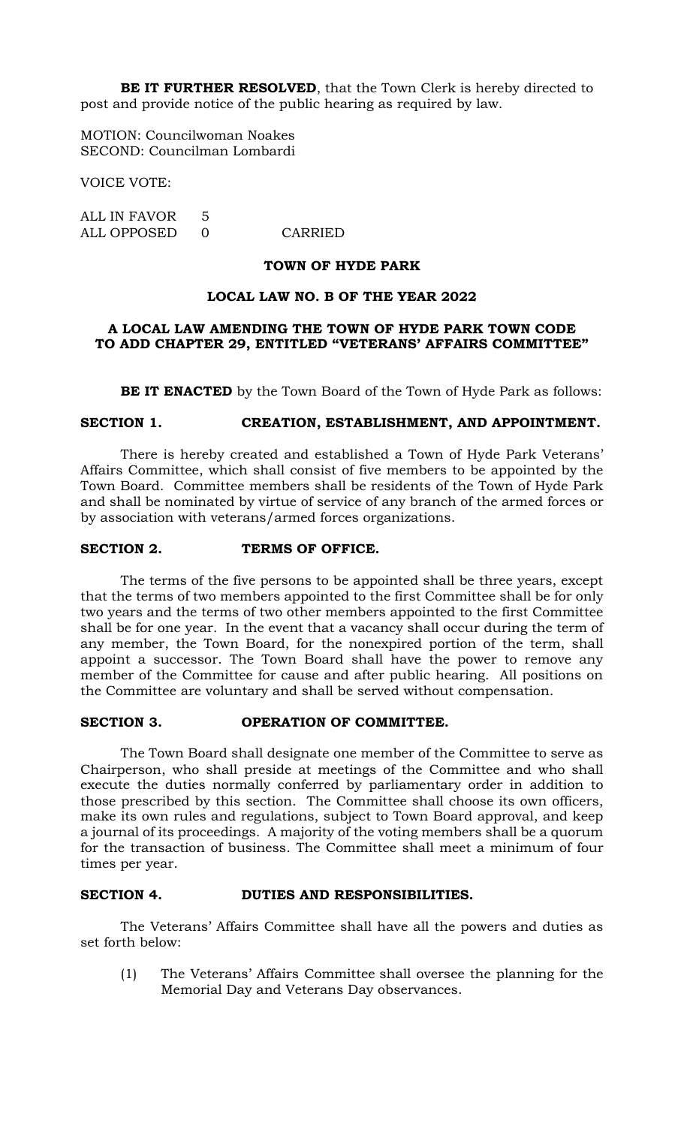**BE IT FURTHER RESOLVED**, that the Town Clerk is hereby directed to post and provide notice of the public hearing as required by law.

MOTION: Councilwoman Noakes SECOND: Councilman Lombardi

VOICE VOTE:

ALL IN FAVOR 5 ALL OPPOSED 0 CARRIED

#### **TOWN OF HYDE PARK**

## **LOCAL LAW NO. B OF THE YEAR 2022**

## **A LOCAL LAW AMENDING THE TOWN OF HYDE PARK TOWN CODE TO ADD CHAPTER 29, ENTITLED "VETERANS' AFFAIRS COMMITTEE"**

**BE IT ENACTED** by the Town Board of the Town of Hyde Park as follows:

### **SECTION 1. CREATION, ESTABLISHMENT, AND APPOINTMENT.**

There is hereby created and established a Town of Hyde Park Veterans' Affairs Committee, which shall consist of five members to be appointed by the Town Board. Committee members shall be residents of the Town of Hyde Park and shall be nominated by virtue of service of any branch of the armed forces or by association with veterans/armed forces organizations.

### **SECTION 2. TERMS OF OFFICE.**

The terms of the five persons to be appointed shall be three years, except that the terms of two members appointed to the first Committee shall be for only two years and the terms of two other members appointed to the first Committee shall be for one year. In the event that a vacancy shall occur during the term of any member, the Town Board, for the nonexpired portion of the term, shall appoint a successor. The Town Board shall have the power to remove any member of the Committee for cause and after public hearing. All positions on the Committee are voluntary and shall be served without compensation.

#### **SECTION 3. OPERATION OF COMMITTEE.**

The Town Board shall designate one member of the Committee to serve as Chairperson, who shall preside at meetings of the Committee and who shall execute the duties normally conferred by parliamentary order in addition to those prescribed by this section. The Committee shall choose its own officers, make its own rules and regulations, subject to Town Board approval, and keep a journal of its proceedings. A majority of the voting members shall be a quorum for the transaction of business. The Committee shall meet a minimum of four times per year.

## **SECTION 4. DUTIES AND RESPONSIBILITIES.**

The Veterans' Affairs Committee shall have all the powers and duties as set forth below:

(1) The Veterans' Affairs Committee shall oversee the planning for the Memorial Day and Veterans Day observances.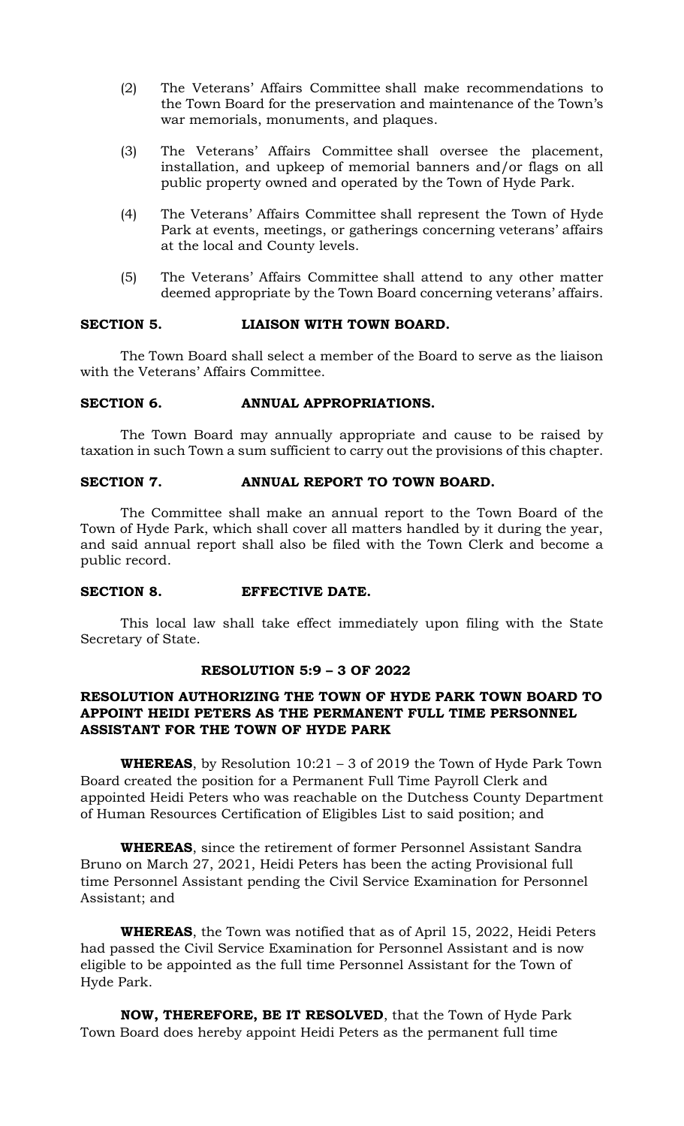- (2) The Veterans' Affairs Committee shall make recommendations to the Town Board for the preservation and maintenance of the Town's war memorials, monuments, and plaques.
- (3) The Veterans' Affairs Committee shall oversee the placement, installation, and upkeep of memorial banners and/or flags on all public property owned and operated by the Town of Hyde Park.
- (4) The Veterans' Affairs Committee shall represent the Town of Hyde Park at events, meetings, or gatherings concerning veterans' affairs at the local and County levels.
- (5) The Veterans' Affairs Committee shall attend to any other matter deemed appropriate by the Town Board concerning veterans' affairs.

## **SECTION 5. LIAISON WITH TOWN BOARD.**

The Town Board shall select a member of the Board to serve as the liaison with the Veterans' Affairs Committee.

## **SECTION 6. ANNUAL APPROPRIATIONS.**

The Town Board may annually appropriate and cause to be raised by taxation in such Town a sum sufficient to carry out the provisions of this chapter.

## **SECTION 7. ANNUAL REPORT TO TOWN BOARD.**

The Committee shall make an annual report to the Town Board of the Town of Hyde Park, which shall cover all matters handled by it during the year, and said annual report shall also be filed with the Town Clerk and become a public record.

## **SECTION 8. EFFECTIVE DATE.**

This local law shall take effect immediately upon filing with the State Secretary of State.

## **RESOLUTION 5:9 – 3 OF 2022**

# **RESOLUTION AUTHORIZING THE TOWN OF HYDE PARK TOWN BOARD TO APPOINT HEIDI PETERS AS THE PERMANENT FULL TIME PERSONNEL ASSISTANT FOR THE TOWN OF HYDE PARK**

**WHEREAS**, by Resolution 10:21 – 3 of 2019 the Town of Hyde Park Town Board created the position for a Permanent Full Time Payroll Clerk and appointed Heidi Peters who was reachable on the Dutchess County Department of Human Resources Certification of Eligibles List to said position; and

**WHEREAS**, since the retirement of former Personnel Assistant Sandra Bruno on March 27, 2021, Heidi Peters has been the acting Provisional full time Personnel Assistant pending the Civil Service Examination for Personnel Assistant; and

**WHEREAS**, the Town was notified that as of April 15, 2022, Heidi Peters had passed the Civil Service Examination for Personnel Assistant and is now eligible to be appointed as the full time Personnel Assistant for the Town of Hyde Park.

**NOW, THEREFORE, BE IT RESOLVED**, that the Town of Hyde Park Town Board does hereby appoint Heidi Peters as the permanent full time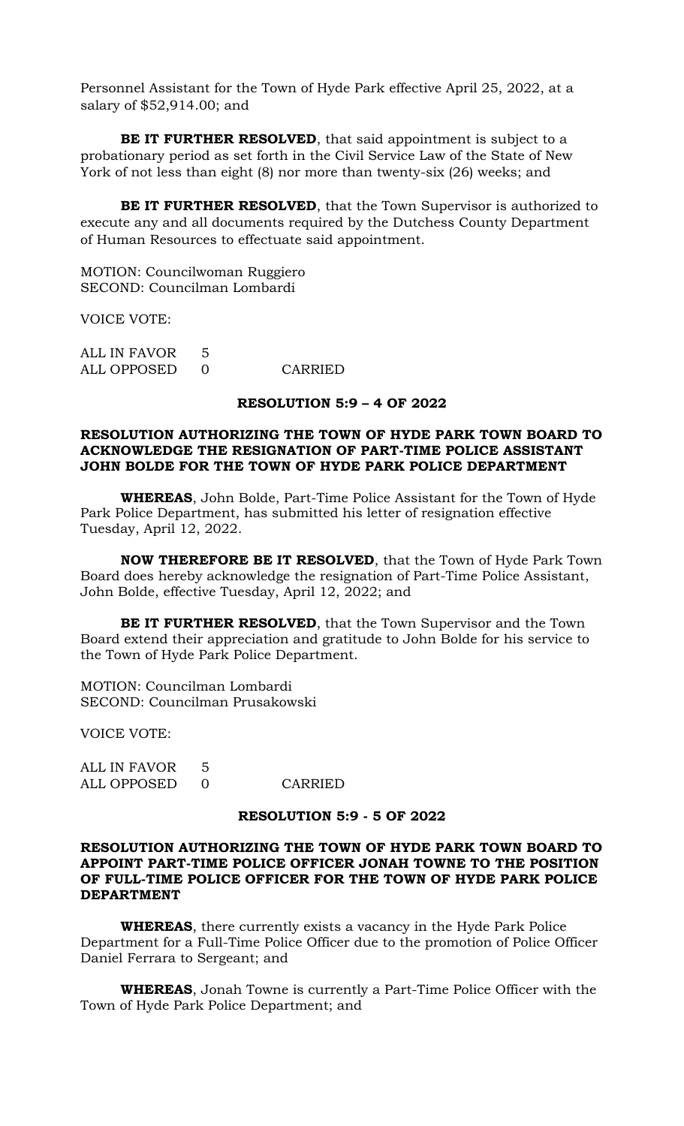Personnel Assistant for the Town of Hyde Park effective April 25, 2022, at a salary of \$52,914.00; and

**BE IT FURTHER RESOLVED**, that said appointment is subject to a probationary period as set forth in the Civil Service Law of the State of New York of not less than eight (8) nor more than twenty-six (26) weeks; and

**BE IT FURTHER RESOLVED**, that the Town Supervisor is authorized to execute any and all documents required by the Dutchess County Department of Human Resources to effectuate said appointment.

MOTION: Councilwoman Ruggiero SECOND: Councilman Lombardi

VOICE VOTE:

ALL IN FAVOR 5 ALL OPPOSED 0 CARRIED

## **RESOLUTION 5:9 – 4 OF 2022**

## **RESOLUTION AUTHORIZING THE TOWN OF HYDE PARK TOWN BOARD TO ACKNOWLEDGE THE RESIGNATION OF PART-TIME POLICE ASSISTANT JOHN BOLDE FOR THE TOWN OF HYDE PARK POLICE DEPARTMENT**

**WHEREAS**, John Bolde, Part-Time Police Assistant for the Town of Hyde Park Police Department, has submitted his letter of resignation effective Tuesday, April 12, 2022.

**NOW THEREFORE BE IT RESOLVED**, that the Town of Hyde Park Town Board does hereby acknowledge the resignation of Part-Time Police Assistant, John Bolde, effective Tuesday, April 12, 2022; and

**BE IT FURTHER RESOLVED**, that the Town Supervisor and the Town Board extend their appreciation and gratitude to John Bolde for his service to the Town of Hyde Park Police Department.

MOTION: Councilman Lombardi SECOND: Councilman Prusakowski

VOICE VOTE:

ALL IN FAVOR 5 ALL OPPOSED 0 CARRIED

### **RESOLUTION 5:9 - 5 OF 2022**

## **RESOLUTION AUTHORIZING THE TOWN OF HYDE PARK TOWN BOARD TO APPOINT PART-TIME POLICE OFFICER JONAH TOWNE TO THE POSITION OF FULL-TIME POLICE OFFICER FOR THE TOWN OF HYDE PARK POLICE DEPARTMENT**

**WHEREAS**, there currently exists a vacancy in the Hyde Park Police Department for a Full-Time Police Officer due to the promotion of Police Officer Daniel Ferrara to Sergeant; and

**WHEREAS**, Jonah Towne is currently a Part-Time Police Officer with the Town of Hyde Park Police Department; and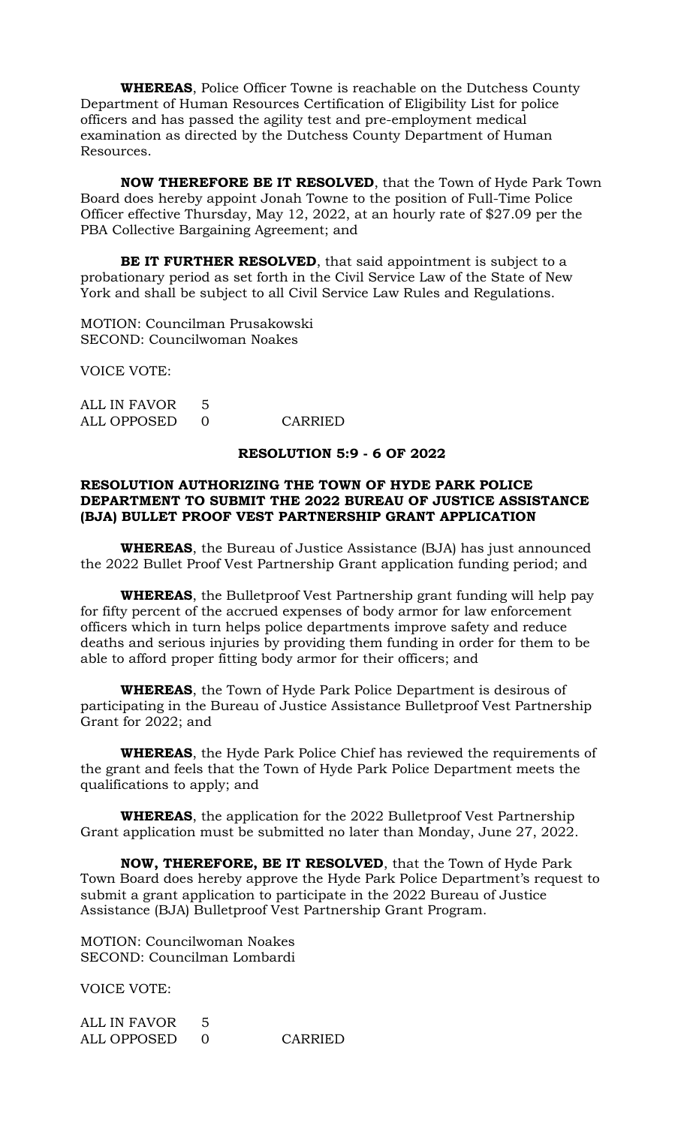**WHEREAS**, Police Officer Towne is reachable on the Dutchess County Department of Human Resources Certification of Eligibility List for police officers and has passed the agility test and pre-employment medical examination as directed by the Dutchess County Department of Human Resources.

**NOW THEREFORE BE IT RESOLVED**, that the Town of Hyde Park Town Board does hereby appoint Jonah Towne to the position of Full-Time Police Officer effective Thursday, May 12, 2022, at an hourly rate of \$27.09 per the PBA Collective Bargaining Agreement; and

**BE IT FURTHER RESOLVED**, that said appointment is subject to a probationary period as set forth in the Civil Service Law of the State of New York and shall be subject to all Civil Service Law Rules and Regulations.

MOTION: Councilman Prusakowski SECOND: Councilwoman Noakes

VOICE VOTE:

ALL IN FAVOR 5 ALL OPPOSED 0 CARRIED

## **RESOLUTION 5:9 - 6 OF 2022**

## **RESOLUTION AUTHORIZING THE TOWN OF HYDE PARK POLICE DEPARTMENT TO SUBMIT THE 2022 BUREAU OF JUSTICE ASSISTANCE (BJA) BULLET PROOF VEST PARTNERSHIP GRANT APPLICATION**

**WHEREAS**, the Bureau of Justice Assistance (BJA) has just announced the 2022 Bullet Proof Vest Partnership Grant application funding period; and

**WHEREAS**, the Bulletproof Vest Partnership grant funding will help pay for fifty percent of the accrued expenses of body armor for law enforcement officers which in turn helps police departments improve safety and reduce deaths and serious injuries by providing them funding in order for them to be able to afford proper fitting body armor for their officers; and

**WHEREAS**, the Town of Hyde Park Police Department is desirous of participating in the Bureau of Justice Assistance Bulletproof Vest Partnership Grant for 2022; and

**WHEREAS**, the Hyde Park Police Chief has reviewed the requirements of the grant and feels that the Town of Hyde Park Police Department meets the qualifications to apply; and

**WHEREAS**, the application for the 2022 Bulletproof Vest Partnership Grant application must be submitted no later than Monday, June 27, 2022.

**NOW, THEREFORE, BE IT RESOLVED**, that the Town of Hyde Park Town Board does hereby approve the Hyde Park Police Department's request to submit a grant application to participate in the 2022 Bureau of Justice Assistance (BJA) Bulletproof Vest Partnership Grant Program.

MOTION: Councilwoman Noakes SECOND: Councilman Lombardi

VOICE VOTE:

ALL IN FAVOR 5 ALL OPPOSED 0 CARRIED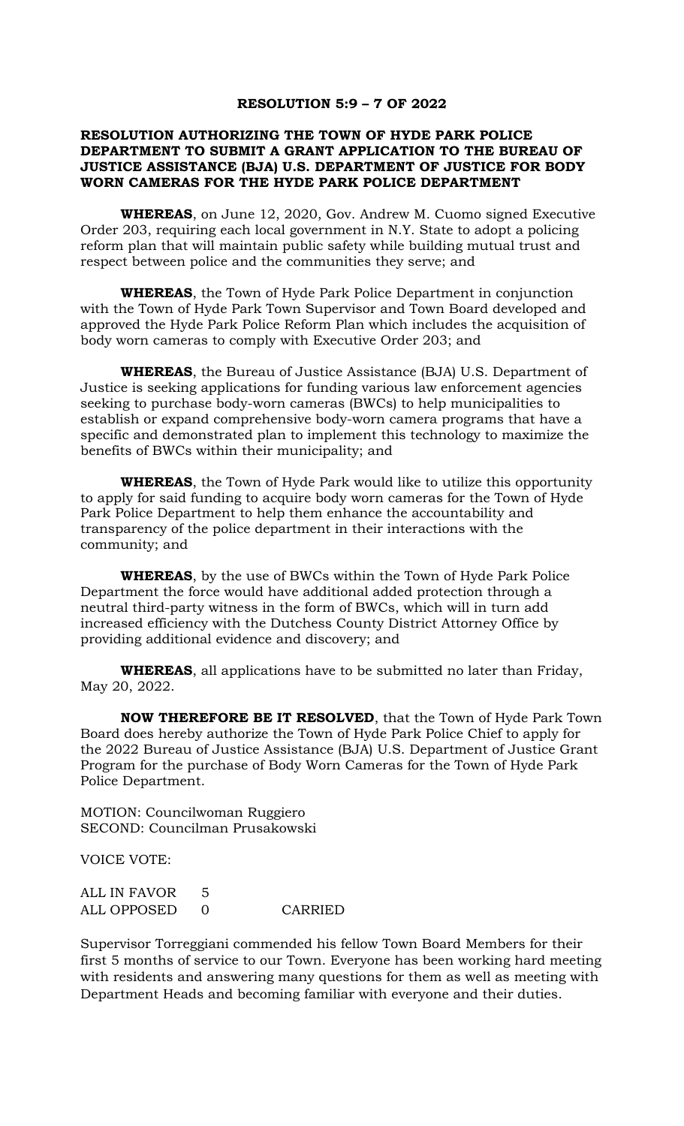#### **RESOLUTION 5:9 – 7 OF 2022**

## **RESOLUTION AUTHORIZING THE TOWN OF HYDE PARK POLICE DEPARTMENT TO SUBMIT A GRANT APPLICATION TO THE BUREAU OF JUSTICE ASSISTANCE (BJA) U.S. DEPARTMENT OF JUSTICE FOR BODY WORN CAMERAS FOR THE HYDE PARK POLICE DEPARTMENT**

**WHEREAS**, on June 12, 2020, Gov. Andrew M. Cuomo signed Executive Order 203, requiring each local government in N.Y. State to adopt a policing reform plan that will maintain public safety while building mutual trust and respect between police and the communities they serve; and

**WHEREAS**, the Town of Hyde Park Police Department in conjunction with the Town of Hyde Park Town Supervisor and Town Board developed and approved the Hyde Park Police Reform Plan which includes the acquisition of body worn cameras to comply with Executive Order 203; and

**WHEREAS**, the Bureau of Justice Assistance (BJA) U.S. Department of Justice is seeking applications for funding various law enforcement agencies seeking to purchase body-worn cameras (BWCs) to help municipalities to establish or expand comprehensive body-worn camera programs that have a specific and demonstrated plan to implement this technology to maximize the benefits of BWCs within their municipality; and

**WHEREAS**, the Town of Hyde Park would like to utilize this opportunity to apply for said funding to acquire body worn cameras for the Town of Hyde Park Police Department to help them enhance the accountability and transparency of the police department in their interactions with the community; and

**WHEREAS**, by the use of BWCs within the Town of Hyde Park Police Department the force would have additional added protection through a neutral third-party witness in the form of BWCs, which will in turn add increased efficiency with the Dutchess County District Attorney Office by providing additional evidence and discovery; and

**WHEREAS**, all applications have to be submitted no later than Friday, May 20, 2022.

**NOW THEREFORE BE IT RESOLVED**, that the Town of Hyde Park Town Board does hereby authorize the Town of Hyde Park Police Chief to apply for the 2022 Bureau of Justice Assistance (BJA) U.S. Department of Justice Grant Program for the purchase of Body Worn Cameras for the Town of Hyde Park Police Department.

MOTION: Councilwoman Ruggiero SECOND: Councilman Prusakowski

VOICE VOTE:

| ALL IN FAVOR 5 |         |
|----------------|---------|
| ALL OPPOSED 0  | CARRIED |

Supervisor Torreggiani commended his fellow Town Board Members for their first 5 months of service to our Town. Everyone has been working hard meeting with residents and answering many questions for them as well as meeting with Department Heads and becoming familiar with everyone and their duties.